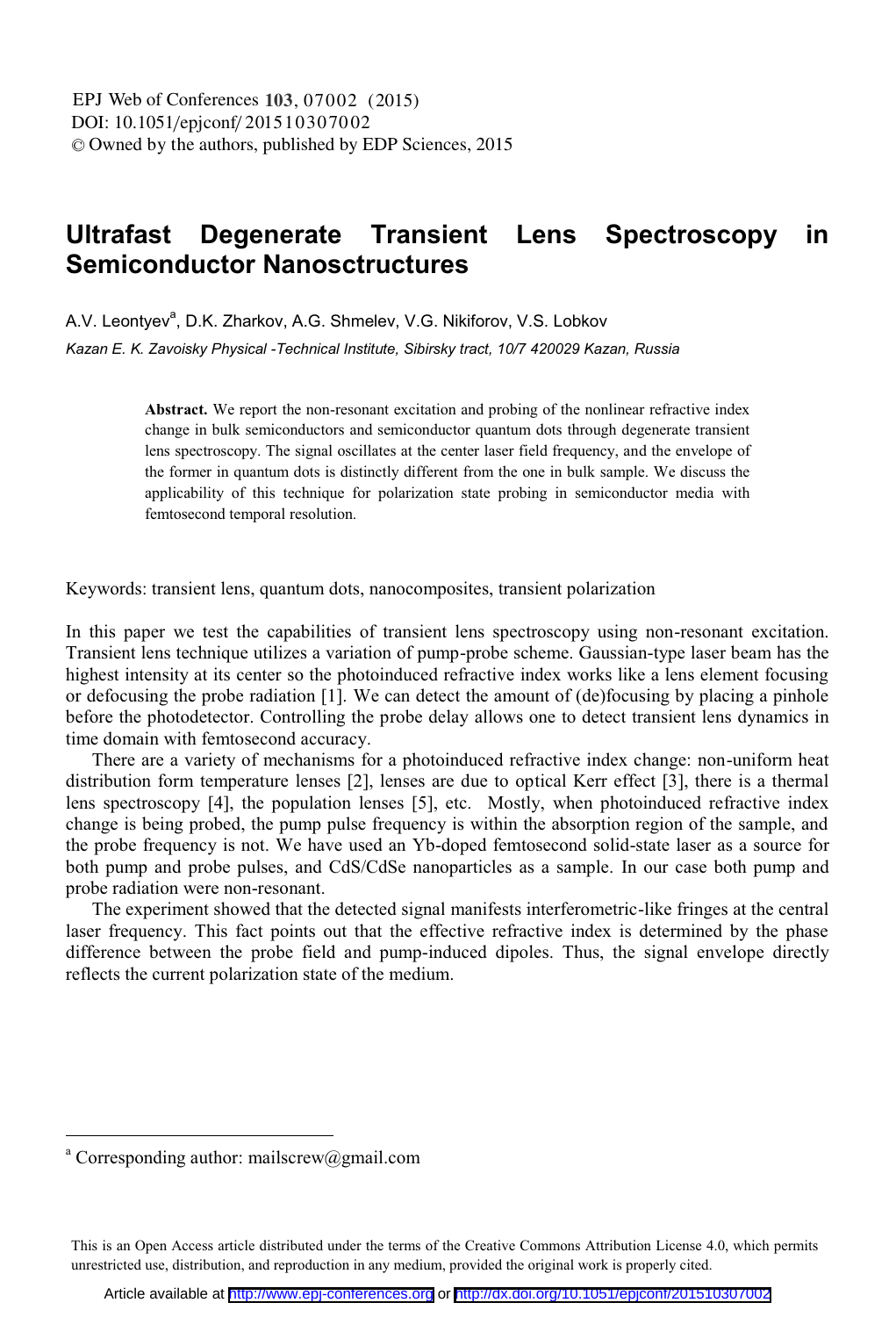## **Ultrafast Degenerate Transient Lens Spectroscopy in Semiconductor Nanosctructures**

A.V. Leontvev<sup>a</sup>, D.K. Zharkov, A.G. Shmelev, V.G. Nikiforov, V.S. Lobkov

*Kazan E. K. Zavoisky Physical -Technical Institute, Sibirsky tract, 10/7 420029 Kazan, Russia* 

**Abstract.** We report the non-resonant excitation and probing of the nonlinear refractive index change in bulk semiconductors and semiconductor quantum dots through degenerate transient lens spectroscopy. The signal oscillates at the center laser field frequency, and the envelope of the former in quantum dots is distinctly different from the one in bulk sample. We discuss the applicability of this technique for polarization state probing in semiconductor media with femtosecond temporal resolution.

Keywords: transient lens, quantum dots, nanocomposites, transient polarization

In this paper we test the capabilities of transient lens spectroscopy using non-resonant excitation. Transient lens technique utilizes a variation of pump-probe scheme. Gaussian-type laser beam has the highest intensity at its center so the photoinduced refractive index works like a lens element focusing or defocusing the probe radiation [1]. We can detect the amount of (de)focusing by placing a pinhole before the photodetector. Controlling the probe delay allows one to detect transient lens dynamics in time domain with femtosecond accuracy.

There are a variety of mechanisms for a photoinduced refractive index change: non-uniform heat distribution form temperature lenses [2], lenses are due to optical Kerr effect [3], there is a thermal lens spectroscopy [4], the population lenses [5], etc. Mostly, when photoinduced refractive index change is being probed, the pump pulse frequency is within the absorption region of the sample, and the probe frequency is not. We have used an Yb-doped femtosecond solid-state laser as a source for both pump and probe pulses, and CdS/CdSe nanoparticles as a sample. In our case both pump and probe radiation were non-resonant.

The experiment showed that the detected signal manifests interferometric-like fringes at the central laser frequency. This fact points out that the effective refractive index is determined by the phase difference between the probe field and pump-induced dipoles. Thus, the signal envelope directly reflects the current polarization state of the medium.

 $\overline{a}$ 

a Corresponding author: mailscrew@gmail.com

This is an Open Access article distributed under the terms of the Creative Commons Attribution License 4.0, which permits unrestricted use, distribution, and reproduction in any medium, provided the original work is properly cited.